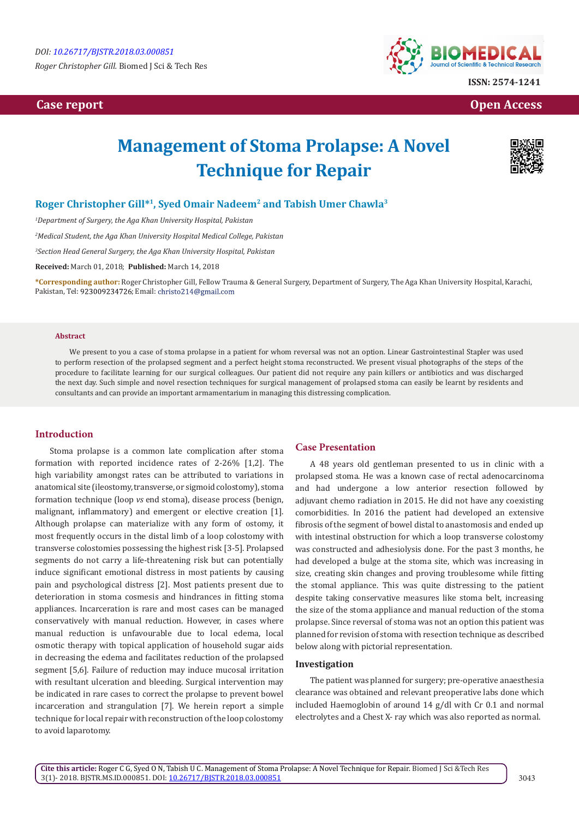*Roger Christopher Gill.* Biomed J Sci & Tech Res

# **Case report Case report Case is a contract of the contract of the contract of the contract of the contract of the contract of the contract of the contract of the contract of the contract of the contract of the contract of**



# **Management of Stoma Prolapse: A Novel Technique for Repair**



# **Roger Christopher Gill\*1, Syed Omair Nadeem2 and Tabish Umer Chawla3**

*1 Department of Surgery, the Aga Khan University Hospital, Pakistan*

*2 Medical Student, the Aga Khan University Hospital Medical College, Pakistan*

*3 Section Head General Surgery, the Aga Khan University Hospital, Pakistan*

**Received:** March 01, 2018; **Published:** March 14, 2018

**\*Corresponding author:** Roger Christopher Gill, Fellow Trauma & General Surgery, Department of Surgery, The Aga Khan University Hospital, Karachi, Pakistan, Tel: 923009234726; Email: christo214@gmail.com

## **Abstract**

We present to you a case of stoma prolapse in a patient for whom reversal was not an option. Linear Gastrointestinal Stapler was used to perform resection of the prolapsed segment and a perfect height stoma reconstructed. We present visual photographs of the steps of the procedure to facilitate learning for our surgical colleagues. Our patient did not require any pain killers or antibiotics and was discharged the next day. Such simple and novel resection techniques for surgical management of prolapsed stoma can easily be learnt by residents and consultants and can provide an important armamentarium in managing this distressing complication.

# **Introduction**

Stoma prolapse is a common late complication after stoma formation with reported incidence rates of 2-26% [1,2]. The high variability amongst rates can be attributed to variations in anatomical site (ileostomy, transverse, or sigmoid colostomy), stoma formation technique (loop *vs* end stoma), disease process (benign, malignant, inflammatory) and emergent or elective creation [1]. Although prolapse can materialize with any form of ostomy, it most frequently occurs in the distal limb of a loop colostomy with transverse colostomies possessing the highest risk [3-5]. Prolapsed segments do not carry a life-threatening risk but can potentially induce significant emotional distress in most patients by causing pain and psychological distress [2]. Most patients present due to deterioration in stoma cosmesis and hindrances in fitting stoma appliances. Incarceration is rare and most cases can be managed conservatively with manual reduction. However, in cases where manual reduction is unfavourable due to local edema, local osmotic therapy with topical application of household sugar aids in decreasing the edema and facilitates reduction of the prolapsed segment [5,6]. Failure of reduction may induce mucosal irritation with resultant ulceration and bleeding. Surgical intervention may be indicated in rare cases to correct the prolapse to prevent bowel incarceration and strangulation [7]. We herein report a simple technique for local repair with reconstruction of the loop colostomy to avoid laparotomy.

#### **Case Presentation**

A 48 years old gentleman presented to us in clinic with a prolapsed stoma. He was a known case of rectal adenocarcinoma and had undergone a low anterior resection followed by adjuvant chemo radiation in 2015. He did not have any coexisting comorbidities. In 2016 the patient had developed an extensive fibrosis of the segment of bowel distal to anastomosis and ended up with intestinal obstruction for which a loop transverse colostomy was constructed and adhesiolysis done. For the past 3 months, he had developed a bulge at the stoma site, which was increasing in size, creating skin changes and proving troublesome while fitting the stomal appliance. This was quite distressing to the patient despite taking conservative measures like stoma belt, increasing the size of the stoma appliance and manual reduction of the stoma prolapse. Since reversal of stoma was not an option this patient was planned for revision of stoma with resection technique as described below along with pictorial representation.

# **Investigation**

The patient was planned for surgery; pre-operative anaesthesia clearance was obtained and relevant preoperative labs done which included Haemoglobin of around 14 g/dl with Cr 0.1 and normal electrolytes and a Chest X- ray which was also reported as normal.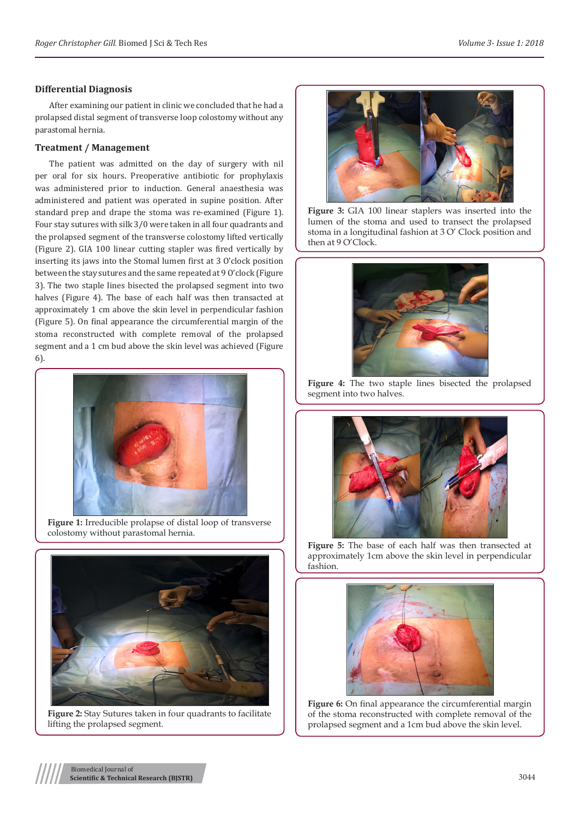# **Differential Diagnosis**

After examining our patient in clinic we concluded that he had a prolapsed distal segment of transverse loop colostomy without any parastomal hernia.

# **Treatment / Management**

The patient was admitted on the day of surgery with nil per oral for six hours. Preoperative antibiotic for prophylaxis was administered prior to induction. General anaesthesia was administered and patient was operated in supine position. After standard prep and drape the stoma was re-examined (Figure 1). Four stay sutures with silk 3/0 were taken in all four quadrants and the prolapsed segment of the transverse colostomy lifted vertically (Figure 2). GIA 100 linear cutting stapler was fired vertically by inserting its jaws into the Stomal lumen first at 3 O'clock position between the stay sutures and the same repeated at 9 O'clock (Figure 3). The two staple lines bisected the prolapsed segment into two halves (Figure 4). The base of each half was then transacted at approximately 1 cm above the skin level in perpendicular fashion (Figure 5). On final appearance the circumferential margin of the stoma reconstructed with complete removal of the prolapsed segment and a 1 cm bud above the skin level was achieved (Figure 6).



**Figure 1:** Irreducible prolapse of distal loop of transverse colostomy without parastomal hernia.



**Figure 2:** Stay Sutures taken in four quadrants to facilitate lifting the prolapsed segment.



**Figure 3:** GIA 100 linear staplers was inserted into the lumen of the stoma and used to transect the prolapsed stoma in a longitudinal fashion at 3 O' Clock position and then at 9 O'Clock.



**Figure 4:** The two staple lines bisected the prolapsed segment into two halves.



**Figure 5:** The base of each half was then transected at approximately 1cm above the skin level in perpendicular fashion.



**Figure 6:** On final appearance the circumferential margin of the stoma reconstructed with complete removal of the prolapsed segment and a 1cm bud above the skin level.